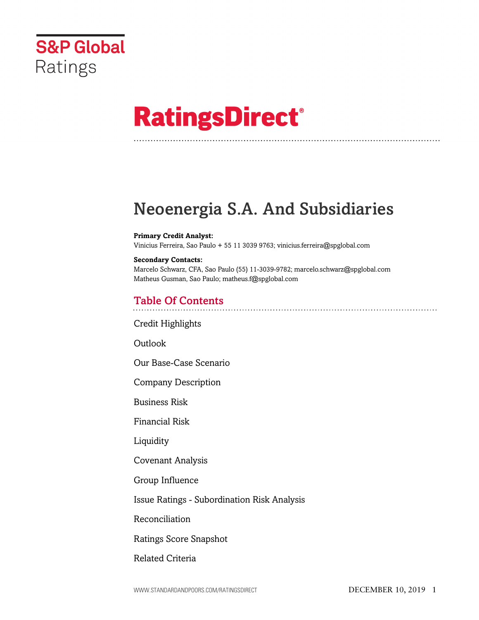

# **RatingsDirect®**

## Neoenergia S.A. And Subsidiaries

#### **Primary Credit Analyst:**

Vinicius Ferreira, Sao Paulo + 55 11 3039 9763; vinicius.ferreira@spglobal.com

#### **Secondary Contacts:**

Marcelo Schwarz, CFA, Sao Paulo (55) 11-3039-9782; marcelo.schwarz@spglobal.com Matheus Gusman, Sao Paulo; matheus.f@spglobal.com

## Table Of Contents

[Credit Highlights](#page-2-0)

**Outlook** 

[Our Base-Case Scenario](#page-4-0)

[Company Description](#page-5-0)

[Business Risk](#page-5-1)

[Financial Risk](#page-9-0)

[Liquidity](#page-10-0)

[Covenant Analysis](#page-11-0)

[Group Influence](#page-12-0)

[Issue Ratings - Subordination Risk Analysis](#page-12-1)

[Reconciliation](#page-13-0)

[Ratings Score Snapshot](#page-14-0)

[Related Criteria](#page-15-0)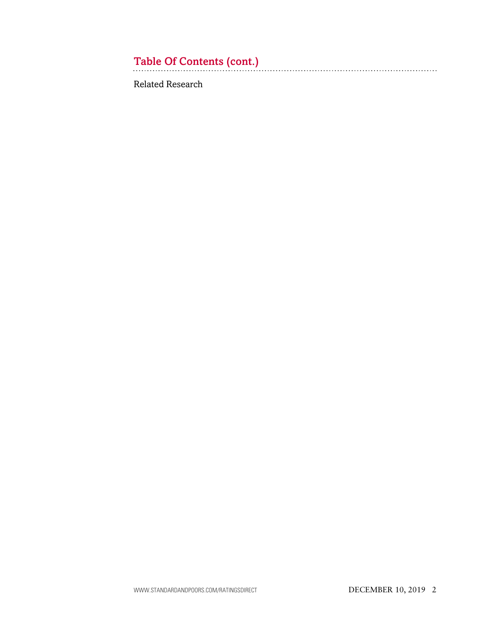## Table Of Contents (cont.)

[Related Research](#page-15-1)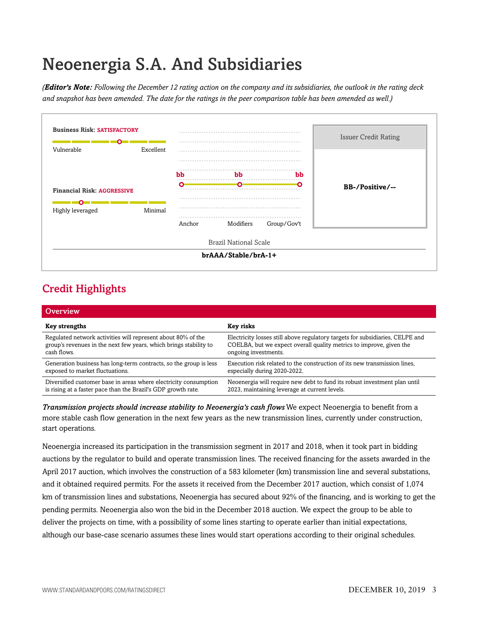## Neoenergia S.A. And Subsidiaries

*(Editor's Note: Following the December 12 rating action on the company and its subsidiaries, the outlook in the rating deck and snapshot has been amended. The date for the ratings in the peer comparison table has been amended as well.)*



## <span id="page-2-0"></span>Credit Highlights

| <b>Overview</b>                                                   |                                                                               |
|-------------------------------------------------------------------|-------------------------------------------------------------------------------|
| <b>Key strengths</b>                                              | Key risks                                                                     |
| Regulated network activities will represent about 80% of the      | Electricity losses still above regulatory targets for subsidiaries, CELPE and |
| group's revenues in the next few years, which brings stability to | COELBA, but we expect overall quality metrics to improve, given the           |
| cash flows.                                                       | ongoing investments.                                                          |
| Generation business has long-term contracts, so the group is less | Execution risk related to the construction of its new transmission lines.     |
| exposed to market fluctuations.                                   | especially during 2020-2022.                                                  |
| Diversified customer base in areas where electricity consumption  | Neoenergia will require new debt to fund its robust investment plan until     |
| is rising at a faster pace than the Brazil's GDP growth rate.     | 2023, maintaining leverage at current levels.                                 |

*Transmission projects should increase stability to Neoenergia's cash flows* We expect Neoenergia to benefit from a more stable cash flow generation in the next few years as the new transmission lines, currently under construction, start operations.

Neoenergia increased its participation in the transmission segment in 2017 and 2018, when it took part in bidding auctions by the regulator to build and operate transmission lines. The received financing for the assets awarded in the April 2017 auction, which involves the construction of a 583 kilometer (km) transmission line and several substations, and it obtained required permits. For the assets it received from the December 2017 auction, which consist of 1,074 km of transmission lines and substations, Neoenergia has secured about 92% of the financing, and is working to get the pending permits. Neoenergia also won the bid in the December 2018 auction. We expect the group to be able to deliver the projects on time, with a possibility of some lines starting to operate earlier than initial expectations, although our base-case scenario assumes these lines would start operations according to their original schedules.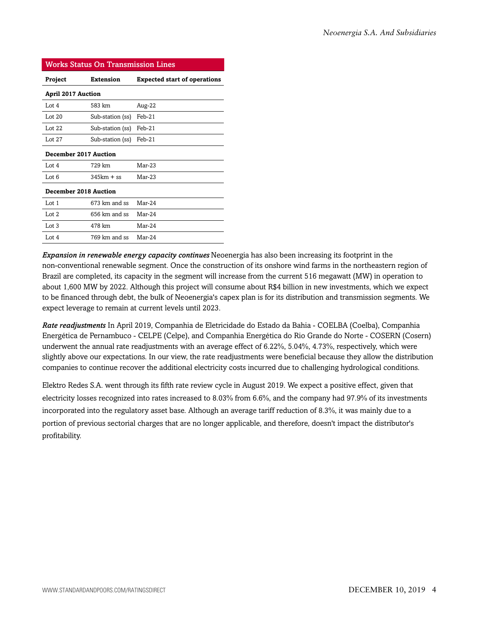#### Works Status On Transmission Lines

| Project                      | Extension        | <b>Expected start of operations</b> |
|------------------------------|------------------|-------------------------------------|
| <b>April 2017 Auction</b>    |                  |                                     |
| Lot 4                        | 583 km           | Aug- $22$                           |
| Lot $20$                     | Sub-station (ss) | Feb-21                              |
| Lot $22$                     | Sub-station (ss) | $Feb-21$                            |
| Lot 27                       | Sub-station (ss) | $Feb-21$                            |
| <b>December 2017 Auction</b> |                  |                                     |
| Lot $4$                      | 729 km           | $Mar-23$                            |
| Lot 6                        | $345km + ss$     | $Mar-23$                            |
| <b>December 2018 Auction</b> |                  |                                     |
| Lot <sub>1</sub>             | 673 km and ss    | Mar-24                              |
| Lot $2$                      | 656 km and ss    | $Mar-24$                            |
| Lot $3$                      | 478 km           | Mar-24                              |
| Lot 4                        | 769 km and ss    | $Mar-24$                            |

*Expansion in renewable energy capacity continues* Neoenergia has also been increasing its footprint in the non-conventional renewable segment. Once the construction of its onshore wind farms in the northeastern region of Brazil are completed, its capacity in the segment will increase from the current 516 megawatt (MW) in operation to about 1,600 MW by 2022. Although this project will consume about R\$4 billion in new investments, which we expect to be financed through debt, the bulk of Neoenergia's capex plan is for its distribution and transmission segments. We expect leverage to remain at current levels until 2023.

*Rate readjustments* In April 2019, Companhia de Eletricidade do Estado da Bahia - COELBA (Coelba), Companhia Energética de Pernambuco - CELPE (Celpe), and Companhia Energética do Rio Grande do Norte - COSERN (Cosern) underwent the annual rate readjustments with an average effect of 6.22%, 5.04%, 4.73%, respectively, which were slightly above our expectations. In our view, the rate readjustments were beneficial because they allow the distribution companies to continue recover the additional electricity costs incurred due to challenging hydrological conditions.

Elektro Redes S.A. went through its fifth rate review cycle in August 2019. We expect a positive effect, given that electricity losses recognized into rates increased to 8.03% from 6.6%, and the company had 97.9% of its investments incorporated into the regulatory asset base. Although an average tariff reduction of 8.3%, it was mainly due to a portion of previous sectorial charges that are no longer applicable, and therefore, doesn't impact the distributor's profitability.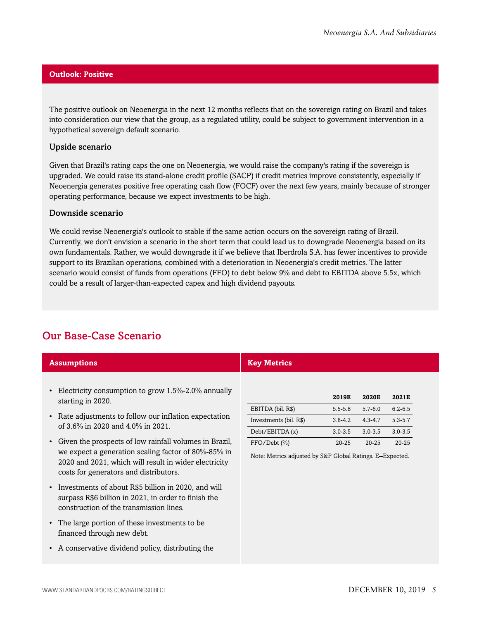#### **Outlook: Positive**

The positive outlook on Neoenergia in the next 12 months reflects that on the sovereign rating on Brazil and takes into consideration our view that the group, as a regulated utility, could be subject to government intervention in a hypothetical sovereign default scenario.

#### Upside scenario

Given that Brazil's rating caps the one on Neoenergia, we would raise the company's rating if the sovereign is upgraded. We could raise its stand-alone credit profile (SACP) if credit metrics improve consistently, especially if Neoenergia generates positive free operating cash flow (FOCF) over the next few years, mainly because of stronger operating performance, because we expect investments to be high.

#### Downside scenario

We could revise Neoenergia's outlook to stable if the same action occurs on the sovereign rating of Brazil. Currently, we don't envision a scenario in the short term that could lead us to downgrade Neoenergia based on its own fundamentals. Rather, we would downgrade it if we believe that Iberdrola S.A. has fewer incentives to provide support to its Brazilian operations, combined with a deterioration in Neoenergia's credit metrics. The latter scenario would consist of funds from operations (FFO) to debt below 9% and debt to EBITDA above 5.5x, which could be a result of larger-than-expected capex and high dividend payouts.

## <span id="page-4-0"></span>Our Base-Case Scenario

| <b>Assumptions</b>                                                                                                                                                                                                                                                                                                                                                                    | <b>Key Metrics</b>                                                                                                                                                                                                                                                                                                                                    |  |
|---------------------------------------------------------------------------------------------------------------------------------------------------------------------------------------------------------------------------------------------------------------------------------------------------------------------------------------------------------------------------------------|-------------------------------------------------------------------------------------------------------------------------------------------------------------------------------------------------------------------------------------------------------------------------------------------------------------------------------------------------------|--|
| Electricity consumption to grow 1.5%-2.0% annually<br>$\bullet$<br>starting in 2020.<br>Rate adjustments to follow our inflation expectation<br>$\bullet$<br>of 3.6% in 2020 and 4.0% in 2021.<br>Given the prospects of low rainfall volumes in Brazil,<br>$\bullet$<br>we expect a generation scaling factor of 80%-85% in<br>2020 and 2021, which will result in wider electricity | 2019E<br>2020E<br>2021E<br>EBITDA (bil. R\$)<br>$6.2 - 6.5$<br>$5.7 - 6.0$<br>$5.5 - 5.8$<br>Investments (bil. R\$)<br>$4.3 - 4.7$<br>$5.3 - 5.7$<br>$3.8 - 4.2$<br>Debt/EBITDA (x)<br>$3.0 - 3.5$<br>$3.0 - 3.5$<br>$3.0 - 3.5$<br>FFO/Debt (%)<br>$20 - 25$<br>$20 - 25$<br>$20 - 25$<br>Note: Metrics adjusted by S&P Global Ratings. E--Expected. |  |
| costs for generators and distributors.<br>Investments of about R\$5 billion in 2020, and will<br>$\bullet$<br>surpass R\$6 billion in 2021, in order to finish the<br>construction of the transmission lines.<br>• The large portion of these investments to be<br>financed through new debt.                                                                                         |                                                                                                                                                                                                                                                                                                                                                       |  |
| A conservative dividend policy, distributing the<br>٠                                                                                                                                                                                                                                                                                                                                 |                                                                                                                                                                                                                                                                                                                                                       |  |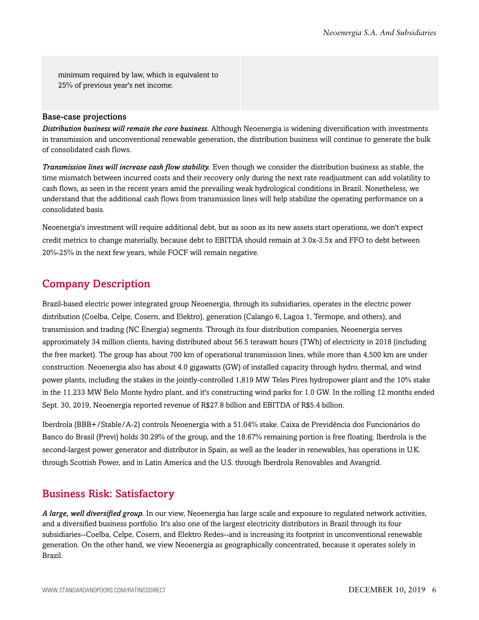minimum required by law, which is equivalent to 25% of previous year's net income.

#### Base-case projections

*Distribution business will remain the core business.* Although Neoenergia is widening diversification with investments in transmission and unconventional renewable generation, the distribution business will continue to generate the bulk of consolidated cash flows.

*Transmission lines will increase cash flow stability.* Even though we consider the distribution business as stable, the time mismatch between incurred costs and their recovery only during the next rate readjustment can add volatility to cash flows, as seen in the recent years amid the prevailing weak hydrological conditions in Brazil. Nonetheless, we understand that the additional cash flows from transmission lines will help stabilize the operating performance on a consolidated basis.

Neoenergia's investment will require additional debt, but as soon as its new assets start operations, we don't expect credit metrics to change materially, because debt to EBITDA should remain at 3.0x-3.5x and FFO to debt between 20%-25% in the next few years, while FOCF will remain negative.

## <span id="page-5-0"></span>Company Description

Brazil-based electric power integrated group Neoenergia, through its subsidiaries, operates in the electric power distribution (Coelba, Celpe, Cosern, and Elektro), generation (Calango 6, Lagoa 1, Termope, and others), and transmission and trading (NC Energia) segments. Through its four distribution companies, Neoenergia serves approximately 34 million clients, having distributed about 56.5 terawatt hours (TWh) of electricity in 2018 (including the free market). The group has about 700 km of operational transmission lines, while more than 4,500 km are under construction. Neoenergia also has about 4.0 gigawatts (GW) of installed capacity through hydro, thermal, and wind power plants, including the stakes in the jointly-controlled 1,819 MW Teles Pires hydropower plant and the 10% stake in the 11,233 MW Belo Monte hydro plant, and it's constructing wind parks for 1.0 GW. In the rolling 12 months ended Sept. 30, 2019, Neoenergia reported revenue of R\$27.8 billion and EBITDA of R\$5.4 billion.

Iberdrola (BBB+/Stable/A-2) controls Neoenergia with a 51.04% stake. Caixa de Previdência dos Funcionários do Banco do Brasil (Previ) holds 30.29% of the group, and the 18.67% remaining portion is free floating. Iberdrola is the second-largest power generator and distributor in Spain, as well as the leader in renewables, has operations in U.K. through Scottish Power, and in Latin America and the U.S. through Iberdrola Renovables and Avangrid.

## <span id="page-5-1"></span>Business Risk: Satisfactory

*A large, well diversified group.* In our view, Neoenergia has large scale and exposure to regulated network activities, and a diversified business portfolio. It's also one of the largest electricity distributors in Brazil through its four subsidiaries--Coelba, Celpe, Cosern, and Elektro Redes--and is increasing its footprint in unconventional renewable generation. On the other hand, we view Neoenergia as geographically concentrated, because it operates solely in Brazil.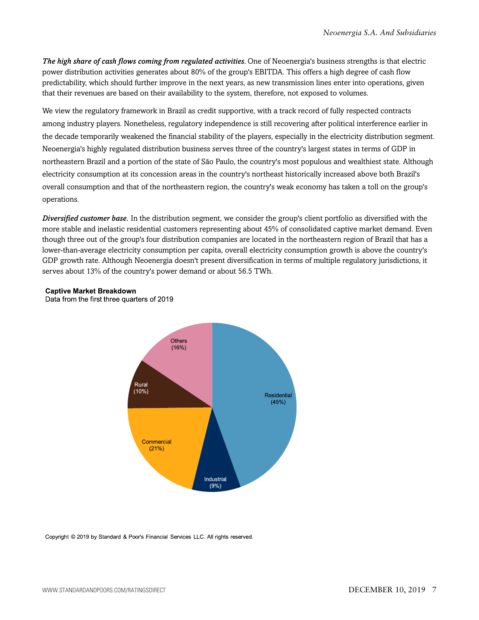*The high share of cash flows coming from regulated activities.* One of Neoenergia's business strengths is that electric power distribution activities generates about 80% of the group's EBITDA. This offers a high degree of cash flow predictability, which should further improve in the next years, as new transmission lines enter into operations, given that their revenues are based on their availability to the system, therefore, not exposed to volumes.

We view the regulatory framework in Brazil as credit supportive, with a track record of fully respected contracts among industry players. Nonetheless, regulatory independence is still recovering after political interference earlier in the decade temporarily weakened the financial stability of the players, especially in the electricity distribution segment. Neoenergia's highly regulated distribution business serves three of the country's largest states in terms of GDP in northeastern Brazil and a portion of the state of São Paulo, the country's most populous and wealthiest state. Although electricity consumption at its concession areas in the country's northeast historically increased above both Brazil's overall consumption and that of the northeastern region, the country's weak economy has taken a toll on the group's operations.

*Diversified customer base.* In the distribution segment, we consider the group's client portfolio as diversified with the more stable and inelastic residential customers representing about 45% of consolidated captive market demand. Even though three out of the group's four distribution companies are located in the northeastern region of Brazil that has a lower-than-average electricity consumption per capita, overall electricity consumption growth is above the country's GDP growth rate. Although Neoenergia doesn't present diversification in terms of multiple regulatory jurisdictions, it serves about 13% of the country's power demand or about 56.5 TWh.

#### **Captive Market Breakdown**

Data from the first three quarters of 2019



Copyright © 2019 by Standard & Poor's Financial Services LLC. All rights reserved.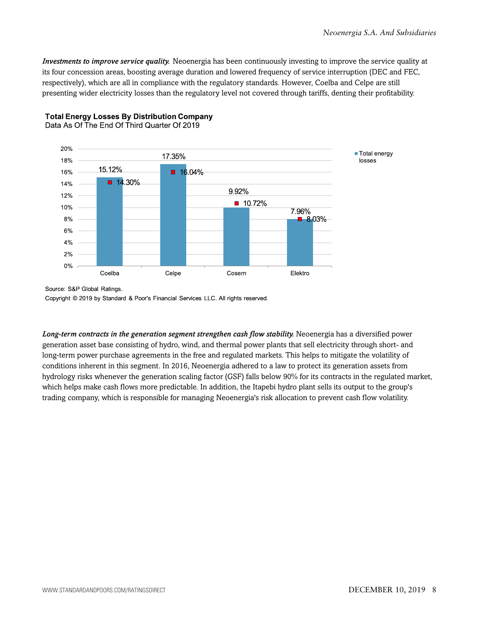*Investments to improve service quality.* Neoenergia has been continuously investing to improve the service quality at its four concession areas, boosting average duration and lowered frequency of service interruption (DEC and FEC, respectively), which are all in compliance with the regulatory standards. However, Coelba and Celpe are still presenting wider electricity losses than the regulatory level not covered through tariffs, denting their profitability.



#### **Total Energy Losses By Distribution Company** Data As Of The End Of Third Quarter Of 2019

Source: S&P Global Ratings.

Copyright © 2019 by Standard & Poor's Financial Services LLC. All rights reserved.

*Long-term contracts in the generation segment strengthen cash flow stability.* Neoenergia has a diversified power generation asset base consisting of hydro, wind, and thermal power plants that sell electricity through short- and long-term power purchase agreements in the free and regulated markets. This helps to mitigate the volatility of conditions inherent in this segment. In 2016, Neoenergia adhered to a law to protect its generation assets from hydrology risks whenever the generation scaling factor (GSF) falls below 90% for its contracts in the regulated market, which helps make cash flows more predictable. In addition, the Itapebi hydro plant sells its output to the group's trading company, which is responsible for managing Neoenergia's risk allocation to prevent cash flow volatility.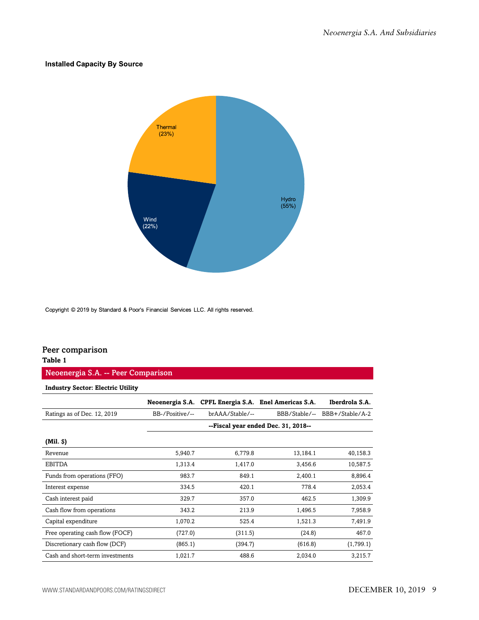#### **Installed Capacity By Source**



Copyright © 2019 by Standard & Poor's Financial Services LLC. All rights reserved.

#### Peer comparison

**Table 1**

#### Neoenergia S.A. -- Peer Comparison

| <b>Industry Sector: Electric Utility</b> |                 |                 |                                                      |                 |
|------------------------------------------|-----------------|-----------------|------------------------------------------------------|-----------------|
|                                          |                 |                 | Neoenergia S.A. CPFL Energia S.A. Enel Americas S.A. | Iberdrola S.A.  |
| Ratings as of Dec. 12, 2019              | BB-/Positive/-- | brAAA/Stable/-- | BBB/Stable/--                                        | BBB+/Stable/A-2 |
|                                          |                 |                 | --Fiscal year ended Dec. 31, 2018--                  |                 |
| (Mil. S)                                 |                 |                 |                                                      |                 |
| Revenue                                  | 5,940.7         | 6,779.8         | 13,184.1                                             | 40,158.3        |
| <b>EBITDA</b>                            | 1,313.4         | 1,417.0         | 3,456.6                                              | 10,587.5        |
| Funds from operations (FFO)              | 983.7           | 849.1           | 2,400.1                                              | 8,896.4         |
| Interest expense                         | 334.5           | 420.1           | 778.4                                                | 2,053.4         |
| Cash interest paid                       | 329.7           | 357.0           | 462.5                                                | 1,309.9         |
| Cash flow from operations                | 343.2           | 213.9           | 1,496.5                                              | 7,958.9         |
| Capital expenditure                      | 1,070.2         | 525.4           | 1,521.3                                              | 7,491.9         |
| Free operating cash flow (FOCF)          | (727.0)         | (311.5)         | (24.8)                                               | 467.0           |
| Discretionary cash flow (DCF)            | (865.1)         | (394.7)         | (616.8)                                              | (1,799.1)       |
| Cash and short-term investments          | 1,021.7         | 488.6           | 2,034.0                                              | 3,215.7         |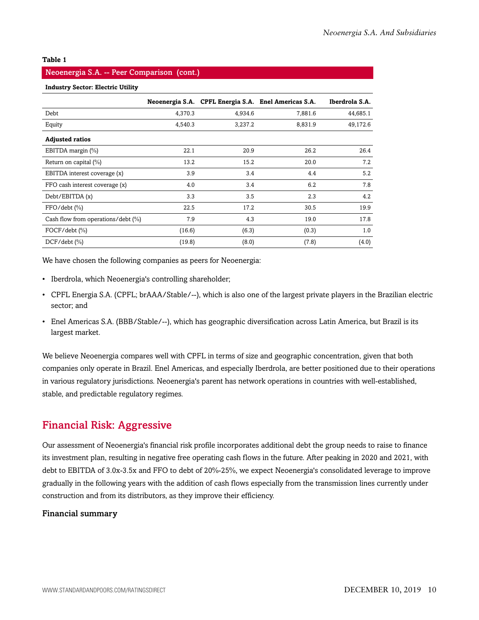#### **Table 1**

#### Neoenergia S.A. -- Peer Comparison (cont.)

#### **Industry Sector: Electric Utility**

|                                    |         |         | Neoenergia S.A. CPFL Energia S.A. Enel Americas S.A. | Iberdrola S.A. |
|------------------------------------|---------|---------|------------------------------------------------------|----------------|
| Debt                               | 4,370.3 | 4,934.6 | 7,881.6                                              | 44,685.1       |
| Equity                             | 4,540.3 | 3,237.2 | 8,831.9                                              | 49,172.6       |
| <b>Adjusted ratios</b>             |         |         |                                                      |                |
| EBITDA margin (%)                  | 22.1    | 20.9    | 26.2                                                 | 26.4           |
| Return on capital (%)              | 13.2    | 15.2    | 20.0                                                 | 7.2            |
| EBITDA interest coverage (x)       | 3.9     | 3.4     | 4.4                                                  | 5.2            |
| FFO cash interest coverage (x)     | 4.0     | 3.4     | 6.2                                                  | 7.8            |
| Debt/EBITDA (x)                    | 3.3     | 3.5     | 2.3                                                  | 4.2            |
| $FFO/debt$ $(\%)$                  | 22.5    | 17.2    | 30.5                                                 | 19.9           |
| Cash flow from operations/debt (%) | 7.9     | 4.3     | 19.0                                                 | 17.8           |
| $FOCF/debt$ $(\% )$                | (16.6)  | (6.3)   | (0.3)                                                | 1.0            |
| $DCF/debt$ $(\%)$                  | (19.8)  | (8.0)   | (7.8)                                                | (4.0)          |

We have chosen the following companies as peers for Neoenergia:

- Iberdrola, which Neoenergia's controlling shareholder;
- CPFL Energia S.A. (CPFL; brAAA/Stable/--), which is also one of the largest private players in the Brazilian electric sector; and
- Enel Americas S.A. (BBB/Stable/--), which has geographic diversification across Latin America, but Brazil is its largest market.

We believe Neoenergia compares well with CPFL in terms of size and geographic concentration, given that both companies only operate in Brazil. Enel Americas, and especially Iberdrola, are better positioned due to their operations in various regulatory jurisdictions. Neoenergia's parent has network operations in countries with well-established, stable, and predictable regulatory regimes.

### <span id="page-9-0"></span>Financial Risk: Aggressive

Our assessment of Neoenergia's financial risk profile incorporates additional debt the group needs to raise to finance its investment plan, resulting in negative free operating cash flows in the future. After peaking in 2020 and 2021, with debt to EBITDA of 3.0x-3.5x and FFO to debt of 20%-25%, we expect Neoenergia's consolidated leverage to improve gradually in the following years with the addition of cash flows especially from the transmission lines currently under construction and from its distributors, as they improve their efficiency.

#### Financial summary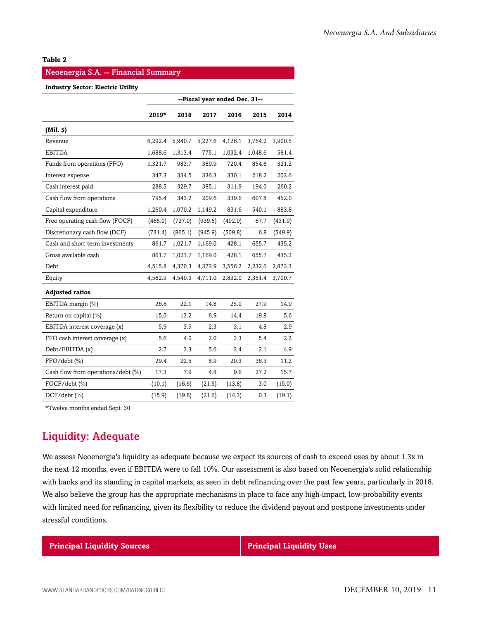#### **Table 2**

#### Neoenergia S.A. -- Financial Summary

#### **Industry Sector: Electric Utility**

|                                    | --Fiscal year ended Dec. 31-- |         |         |         |         |         |  |
|------------------------------------|-------------------------------|---------|---------|---------|---------|---------|--|
|                                    | 2019*                         | 2018    | 2017    | 2016    | 2015    | 2014    |  |
| (Mil. S)                           |                               |         |         |         |         |         |  |
| Revenue                            | 6,292.4                       | 5,940.7 | 5,227.6 | 4,126.1 | 3,764.2 | 3,900.5 |  |
| <b>EBITDA</b>                      | 1,688.6                       | 1,313.4 | 775.1   | 1,032.4 | 1,048.6 | 581.4   |  |
| Funds from operations (FFO)        | 1,321.7                       | 983.7   | 389.9   | 720.4   | 854.6   | 321.2   |  |
| Interest expense                   | 347.3                         | 334.5   | 336.3   | 330.1   | 218.2   | 202.6   |  |
| Cash interest paid                 | 288.5                         | 329.7   | 385.1   | 311.9   | 194.0   | 260.2   |  |
| Cash flow from operations          | 795.4                         | 343.2   | 209.6   | 339.6   | 607.8   | 452.0   |  |
| Capital expenditure                | 1,260.4                       | 1,070.2 | 1,149.2 | 831.6   | 540.1   | 883.8   |  |
| Free operating cash flow (FOCF)    | (465.0)                       | (727.0) | (939.6) | (492.0) | 67.7    | (431.9) |  |
| Discretionary cash flow (DCF)      | (731.4)                       | (865.1) | (945.9) | (509.8) | 6.8     | (549.9) |  |
| Cash and short-term investments    | 861.7                         | 1,021.7 | 1,169.0 | 428.1   | 655.7   | 435.2   |  |
| Gross available cash               | 861.7                         | 1,021.7 | 1,169.0 | 428.1   | 655.7   | 435.2   |  |
| Debt                               | 4,515.8                       | 4,370.3 | 4,373.9 | 3,556.2 | 2,232.6 | 2,873.3 |  |
| Equity                             | 4,562.9                       | 4,540.3 | 4,711.0 | 2,832.0 | 2,351.4 | 3,700.7 |  |
| <b>Adjusted ratios</b>             |                               |         |         |         |         |         |  |
| EBITDA margin (%)                  | 26.8                          | 22.1    | 14.8    | 25.0    | 27.9    | 14.9    |  |
| Return on capital (%)              | 15.0                          | 13.2    | 6.9     | 14.4    | 19.8    | 5.6     |  |
| EBITDA interest coverage (x)       | 5.9                           | 3.9     | 2.3     | 3.1     | 4.8     | 2.9     |  |
| FFO cash interest coverage (x)     | 5.6                           | 4.0     | 2.0     | 3.3     | 5.4     | 2.2     |  |
| Debt/EBITDA (x)                    | 2.7                           | 3.3     | 5.6     | 3.4     | 2.1     | 4.9     |  |
| FFO/debt (%)                       | 29.4                          | 22.5    | 8.9     | 20.3    | 38.3    | 11.2    |  |
| Cash flow from operations/debt (%) | 17.3                          | 7.9     | 4.8     | 9.6     | 27.2    | 15.7    |  |
| FOCF/debt (%)                      | (10.1)                        | (16.6)  | (21.5)  | (13.8)  | 3.0     | (15.0)  |  |
| $DCF/debt$ (%)                     | (15.9)                        | (19.8)  | (21.6)  | (14.3)  | 0.3     | (19.1)  |  |

<span id="page-10-0"></span>\*Twelve months ended Sept. 30.

## Liquidity: Adequate

We assess Neoenergia's liquidity as adequate because we expect its sources of cash to exceed uses by about 1.3x in the next 12 months, even if EBITDA were to fall 10%. Our assessment is also based on Neoenergia's solid relationship with banks and its standing in capital markets, as seen in debt refinancing over the past few years, particularly in 2018. We also believe the group has the appropriate mechanisms in place to face any high-impact, low-probability events with limited need for refinancing, given its flexibility to reduce the dividend payout and postpone investments under stressful conditions.

**Principal Liquidity Sources Principal Liquidity Uses**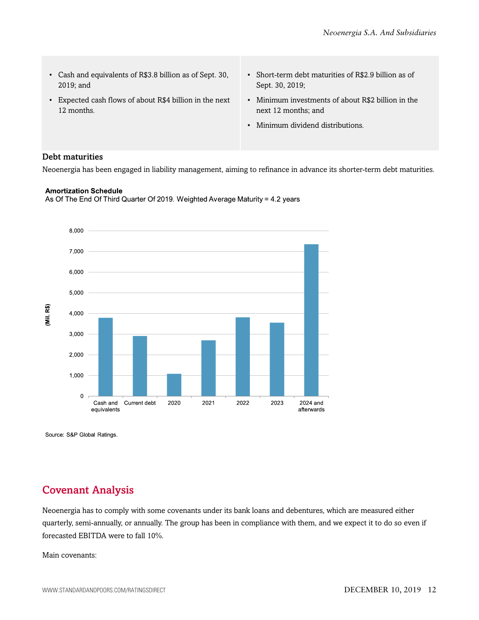| • Cash and equivalents of R\$3.8 billion as of Sept. 30, | • Short-term debt maturities of R\$2.9 billion as of |
|----------------------------------------------------------|------------------------------------------------------|
| $2019$ ; and                                             | Sept. 30, 2019;                                      |
| • Expected cash flows of about R\$4 billion in the next  | • Minimum investments of about R\$2 billion in the   |
| 12 months.                                               | next 12 months; and                                  |
|                                                          | • Minimum dividend distributions.                    |

### Debt maturities

Neoenergia has been engaged in liability management, aiming to refinance in advance its shorter-term debt maturities.

#### **Amortization Schedule**

As Of The End Of Third Quarter Of 2019. Weighted Average Maturity = 4.2 years



Source: S&P Global Ratings.

## <span id="page-11-0"></span>Covenant Analysis

Neoenergia has to comply with some covenants under its bank loans and debentures, which are measured either quarterly, semi-annually, or annually. The group has been in compliance with them, and we expect it to do so even if forecasted EBITDA were to fall 10%.

#### Main covenants: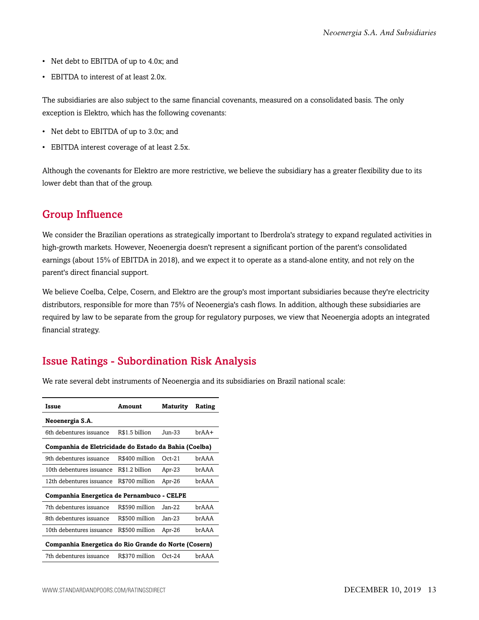- Net debt to EBITDA of up to 4.0x; and
- EBITDA to interest of at least 2.0x.

The subsidiaries are also subject to the same financial covenants, measured on a consolidated basis. The only exception is Elektro, which has the following covenants:

- Net debt to EBITDA of up to 3.0x; and
- EBITDA interest coverage of at least 2.5x.

Although the covenants for Elektro are more restrictive, we believe the subsidiary has a greater flexibility due to its lower debt than that of the group.

## <span id="page-12-0"></span>Group Influence

We consider the Brazilian operations as strategically important to Iberdrola's strategy to expand regulated activities in high-growth markets. However, Neoenergia doesn't represent a significant portion of the parent's consolidated earnings (about 15% of EBITDA in 2018), and we expect it to operate as a stand-alone entity, and not rely on the parent's direct financial support.

We believe Coelba, Celpe, Cosern, and Elektro are the group's most important subsidiaries because they're electricity distributors, responsible for more than 75% of Neoenergia's cash flows. In addition, although these subsidiaries are required by law to be separate from the group for regulatory purposes, we view that Neoenergia adopts an integrated financial strategy.

## <span id="page-12-1"></span>Issue Ratings - Subordination Risk Analysis

We rate several debt instruments of Neoenergia and its subsidiaries on Brazil national scale:

| Issue                                                 | Amount         | Maturity | Rating   |  |  |  |  |
|-------------------------------------------------------|----------------|----------|----------|--|--|--|--|
| Neoenergia S.A.                                       |                |          |          |  |  |  |  |
| 6th debentures issuance                               | R\$1.5 billion | $Jun-33$ | $brAA+$  |  |  |  |  |
| Companhia de Eletricidade do Estado da Bahia (Coelba) |                |          |          |  |  |  |  |
| 9th debentures issuance                               | R\$400 million | $Oct-21$ | brAAA    |  |  |  |  |
| 10th debentures issuance                              | R\$1.2 billion | Apr-23   | hrAAA    |  |  |  |  |
| 12th debentures issuance                              | R\$700 million | Apr-26   | hr A A A |  |  |  |  |
| Companhia Energetica de Pernambuco - CELPE            |                |          |          |  |  |  |  |
| 7th debentures issuance                               | R\$590 million | $Jan-22$ | hrAAA    |  |  |  |  |
| 8th debentures issuance                               | R\$500 million | $Jan-23$ | hr A A A |  |  |  |  |
| 10th debentures issuance                              | R\$500 million | Apr-26   | brAAA    |  |  |  |  |
| Companhia Energetica do Rio Grande do Norte (Cosern)  |                |          |          |  |  |  |  |
| 7th debentures issuance                               | R\$370 million | $Oct-24$ | brAAA    |  |  |  |  |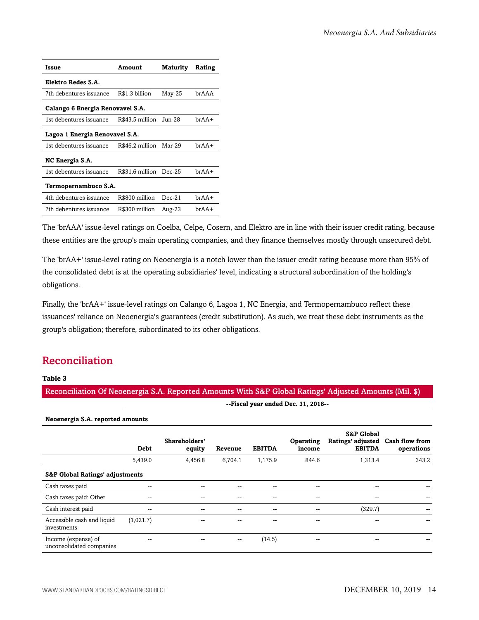| Issue                            | Maturity        | Rating   |              |  |  |
|----------------------------------|-----------------|----------|--------------|--|--|
| Elektro Redes S.A.               |                 |          |              |  |  |
| 7th debentures issuance          | R\$1.3 billion  | May-25   | <b>brAAA</b> |  |  |
| Calango 6 Energia Renovavel S.A. |                 |          |              |  |  |
| 1st debentures issuance          | R\$43.5 million | Jun-28.  | $hrAA+$      |  |  |
| Lagoa 1 Energia Renovavel S.A.   |                 |          |              |  |  |
| 1st debentures issuance          | R\$46.2 million | Mar-29   | $brAA+$      |  |  |
| NC Energia S.A.                  |                 |          |              |  |  |
| 1st debentures issuance          | R\$31.6 million | $Dec-25$ | $brAA+$      |  |  |
| Termopernambuco S.A.             |                 |          |              |  |  |
| 4th debentures issuance          | R\$800 million  | $Dec-21$ | $hrAA+$      |  |  |
| 7th debentures issuance          | R\$300 million  | Aug-23   | brAA+        |  |  |

The 'brAAA' issue-level ratings on Coelba, Celpe, Cosern, and Elektro are in line with their issuer credit rating, because these entities are the group's main operating companies, and they finance themselves mostly through unsecured debt.

The 'brAA+' issue-level rating on Neoenergia is a notch lower than the issuer credit rating because more than 95% of the consolidated debt is at the operating subsidiaries' level, indicating a structural subordination of the holding's obligations.

Finally, the 'brAA+' issue-level ratings on Calango 6, Lagoa 1, NC Energia, and Termopernambuco reflect these issuances' reliance on Neoenergia's guarantees (credit substitution). As such, we treat these debt instruments as the group's obligation; therefore, subordinated to its other obligations.

## <span id="page-13-0"></span>Reconciliation

#### **Table 3**

| Reconciliation Of Neoenergia S.A. Reported Amounts With S&P Global Ratings' Adjusted Amounts (Mil. \$) |           |                         |         |               |                                     |                                                             |                                     |
|--------------------------------------------------------------------------------------------------------|-----------|-------------------------|---------|---------------|-------------------------------------|-------------------------------------------------------------|-------------------------------------|
|                                                                                                        |           |                         |         |               | --Fiscal year ended Dec. 31, 2018-- |                                                             |                                     |
| Neoenergia S.A. reported amounts                                                                       |           |                         |         |               |                                     |                                                             |                                     |
|                                                                                                        | Debt      | Shareholders'<br>equity | Revenue | <b>EBITDA</b> | <b>Operating</b><br>income          | <b>S&amp;P Global</b><br>Ratings' adjusted<br><b>EBITDA</b> | <b>Cash flow from</b><br>operations |
|                                                                                                        | 5,439.0   | 4,456.8                 | 6,704.1 | 1,175.9       | 844.6                               | 1,313.4                                                     | 343.2                               |
| <b>S&amp;P Global Ratings' adjustments</b>                                                             |           |                         |         |               |                                     |                                                             |                                     |
| Cash taxes paid                                                                                        | $-$       | --                      |         | --            | --                                  | --                                                          |                                     |
| Cash taxes paid: Other                                                                                 | --        | --                      |         | --            | --                                  |                                                             |                                     |
| Cash interest paid                                                                                     | --        | --                      |         | --            | --                                  | (329.7)                                                     |                                     |
| Accessible cash and liquid<br>investments                                                              | (1,021.7) |                         |         |               | --                                  |                                                             |                                     |
| Income (expense) of<br>unconsolidated companies                                                        | --        |                         | --      | (14.5)        | --                                  | --                                                          |                                     |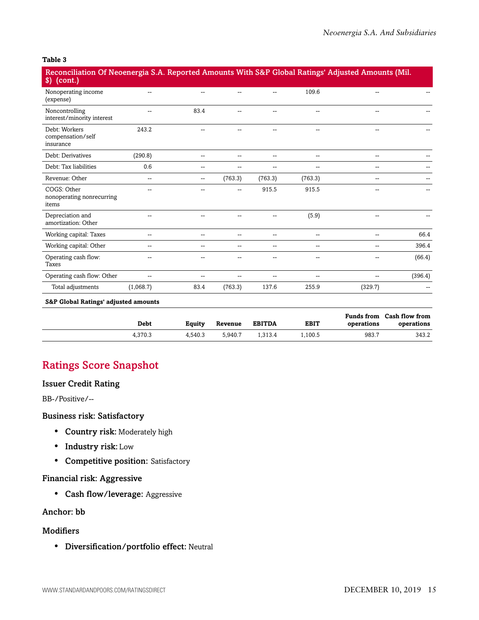#### **Table 3**

| Reconciliation Of Neoenergia S.A. Reported Amounts With S&P Global Ratings' Adjusted Amounts (Mil.<br>$\bullet$ ) (cont.) |                          |        |         |         |                |         |         |
|---------------------------------------------------------------------------------------------------------------------------|--------------------------|--------|---------|---------|----------------|---------|---------|
| Nonoperating income<br>(expense)                                                                                          | $-$                      | $-$    |         | --      | 109.6          |         |         |
| Noncontrolling<br>interest/minority interest                                                                              | --                       | 83.4   |         |         | --             |         |         |
| Debt: Workers<br>compensation/self<br>insurance                                                                           | 243.2                    | --     |         | --      | --             |         |         |
| Debt: Derivatives                                                                                                         | (290.8)                  | --     |         | --      | $\overline{a}$ | $-$     |         |
| Debt: Tax liabilities                                                                                                     | 0.6                      | --     |         |         | --             |         |         |
| Revenue: Other                                                                                                            | $\overline{\phantom{a}}$ | $\sim$ | (763.3) | (763.3) | (763.3)        | --      |         |
| COGS: Other<br>nonoperating nonrecurring<br>items                                                                         |                          |        |         | 915.5   | 915.5          |         |         |
| Depreciation and<br>amortization: Other                                                                                   | --                       | --     |         | --      | (5.9)          |         |         |
| Working capital: Taxes                                                                                                    | --                       | $\sim$ | --      | $-$     | --             |         | 66.4    |
| Working capital: Other                                                                                                    | --                       | ٠.     |         | --      | --             |         | 396.4   |
| Operating cash flow:<br>Taxes                                                                                             |                          |        |         |         | --             |         | (66.4)  |
| Operating cash flow: Other                                                                                                |                          |        |         |         | --             |         | (396.4) |
| Total adjustments                                                                                                         | (1,068.7)                | 83.4   | (763.3) | 137.6   | 255.9          | (329.7) |         |

#### **S&P Global Ratings' adjusted amounts**

| Debt    | Equity  | Revenue | <b>EBITDA</b> | <b>EBIT</b> | operations | Funds from Cash flow from<br>operations |
|---------|---------|---------|---------------|-------------|------------|-----------------------------------------|
| 4.370.3 | 4.540.3 | 5.940.7 | 1.313.4       | .100.5      | 983.7      | 343.2                                   |

## <span id="page-14-0"></span>Ratings Score Snapshot

#### Issuer Credit Rating

BB-/Positive/--

#### Business risk: Satisfactory

- Country risk: Moderately high
- Industry risk: Low
- Competitive position: Satisfactory

#### Financial risk: Aggressive

• Cash flow/leverage: Aggressive

Anchor: bb

#### Modifiers

• Diversification/portfolio effect: Neutral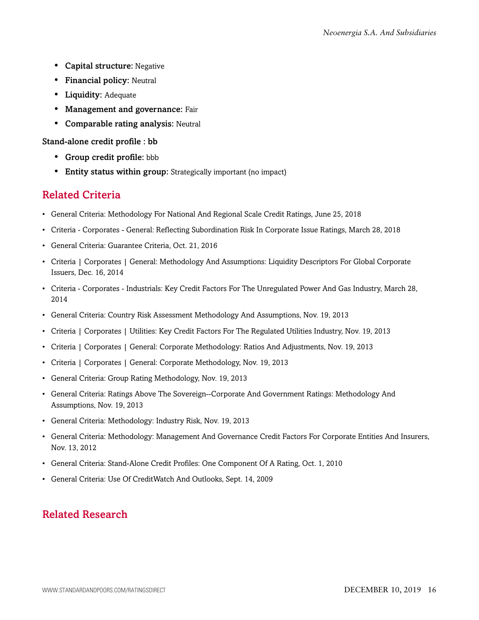- Capital structure: Negative
- Financial policy: Neutral
- Liquidity: Adequate
- Management and governance: Fair
- Comparable rating analysis: Neutral

Stand-alone credit profile : bb

- Group credit profile: bbb
- Entity status within group: Strategically important (no impact)

## <span id="page-15-0"></span>Related Criteria

- General Criteria: Methodology For National And Regional Scale Credit Ratings, June 25, 2018
- Criteria Corporates General: Reflecting Subordination Risk In Corporate Issue Ratings, March 28, 2018
- General Criteria: Guarantee Criteria, Oct. 21, 2016
- Criteria | Corporates | General: Methodology And Assumptions: Liquidity Descriptors For Global Corporate Issuers, Dec. 16, 2014
- Criteria Corporates Industrials: Key Credit Factors For The Unregulated Power And Gas Industry, March 28, 2014
- General Criteria: Country Risk Assessment Methodology And Assumptions, Nov. 19, 2013
- Criteria | Corporates | Utilities: Key Credit Factors For The Regulated Utilities Industry, Nov. 19, 2013
- Criteria | Corporates | General: Corporate Methodology: Ratios And Adjustments, Nov. 19, 2013
- Criteria | Corporates | General: Corporate Methodology, Nov. 19, 2013
- General Criteria: Group Rating Methodology, Nov. 19, 2013
- General Criteria: Ratings Above The Sovereign--Corporate And Government Ratings: Methodology And Assumptions, Nov. 19, 2013
- General Criteria: Methodology: Industry Risk, Nov. 19, 2013
- General Criteria: Methodology: Management And Governance Credit Factors For Corporate Entities And Insurers, Nov. 13, 2012
- General Criteria: Stand-Alone Credit Profiles: One Component Of A Rating, Oct. 1, 2010
- General Criteria: Use Of CreditWatch And Outlooks, Sept. 14, 2009

## <span id="page-15-1"></span>Related Research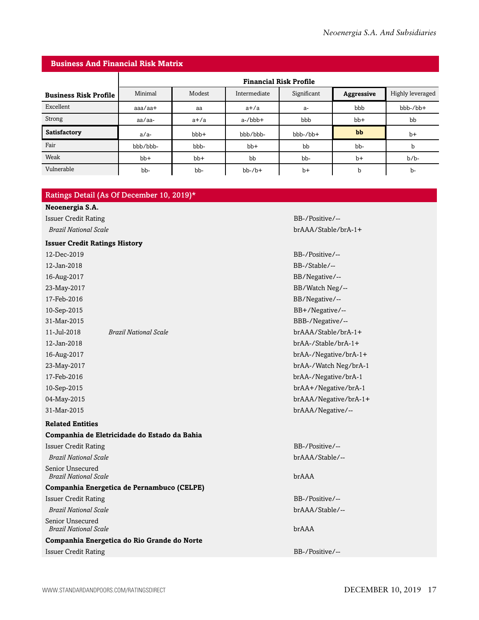| <b>Business And Financial Risk Matrix</b> |                               |        |              |                  |                   |                  |  |  |
|-------------------------------------------|-------------------------------|--------|--------------|------------------|-------------------|------------------|--|--|
|                                           | <b>Financial Risk Profile</b> |        |              |                  |                   |                  |  |  |
| <b>Business Risk Profile</b>              | Minimal                       | Modest | Intermediate | Significant      | <b>Aggressive</b> | Highly leveraged |  |  |
| Excellent                                 | $a$ aa $/a$ a $+$             | aa     | $a+/a$       | $a-$             | bbb               | $bbb-/bb+$       |  |  |
| Strong                                    | aa/aa-                        | $a+/a$ | $a$ -/bbb+   | bbb              | $bb+$             | bb               |  |  |
| Satisfactory                              | $a/a$ -                       | bbb+   | bbb/bbb-     | $bbb-b$ -/ $bb+$ | bb                | $b+$             |  |  |
| Fair                                      | bbb/bbb-                      | bbb-   | $bb+$        | bb               | bb-               | b                |  |  |
| Weak                                      | $bb+$                         | $bb+$  | bb           | bb-              | $b+$              | $b/b$ -          |  |  |
| Vulnerable                                | bb-                           | bb-    | $bb-7b+$     | $b+$             | b                 | b-               |  |  |

### Ratings Detail (As Of December 10, 2019)\*

| Neoenergia S.A.                                  |                       |  |  |  |  |  |
|--------------------------------------------------|-----------------------|--|--|--|--|--|
| <b>Issuer Credit Rating</b>                      | BB-/Positive/--       |  |  |  |  |  |
| <b>Brazil National Scale</b>                     | brAAA/Stable/brA-1+   |  |  |  |  |  |
| <b>Issuer Credit Ratings History</b>             |                       |  |  |  |  |  |
| 12-Dec-2019                                      | BB-/Positive/--       |  |  |  |  |  |
| 12-Jan-2018                                      | BB-/Stable/--         |  |  |  |  |  |
| 16-Aug-2017                                      | BB/Negative/--        |  |  |  |  |  |
| 23-May-2017                                      | BB/Watch Neg/--       |  |  |  |  |  |
| 17-Feb-2016                                      | BB/Negative/--        |  |  |  |  |  |
| 10-Sep-2015                                      | BB+/Negative/--       |  |  |  |  |  |
| 31-Mar-2015                                      | BBB-/Negative/--      |  |  |  |  |  |
| 11-Jul-2018<br><b>Brazil National Scale</b>      | brAAA/Stable/brA-1+   |  |  |  |  |  |
| 12-Jan-2018                                      | brAA-/Stable/brA-1+   |  |  |  |  |  |
| 16-Aug-2017                                      | brAA-/Negative/brA-1+ |  |  |  |  |  |
| 23-May-2017                                      | brAA-/Watch Neg/brA-1 |  |  |  |  |  |
| 17-Feb-2016                                      | brAA-/Negative/brA-1  |  |  |  |  |  |
| 10-Sep-2015                                      | brAA+/Negative/brA-1  |  |  |  |  |  |
| 04-May-2015                                      | brAAA/Negative/brA-1+ |  |  |  |  |  |
| 31-Mar-2015                                      | brAAA/Negative/--     |  |  |  |  |  |
| <b>Related Entities</b>                          |                       |  |  |  |  |  |
| Companhia de Eletricidade do Estado da Bahia     |                       |  |  |  |  |  |
| <b>Issuer Credit Rating</b>                      | BB-/Positive/--       |  |  |  |  |  |
| <b>Brazil National Scale</b>                     | brAAA/Stable/--       |  |  |  |  |  |
| Senior Unsecured<br><b>Brazil National Scale</b> | brAAA                 |  |  |  |  |  |
| Companhia Energetica de Pernambuco (CELPE)       |                       |  |  |  |  |  |
| <b>Issuer Credit Rating</b>                      | BB-/Positive/--       |  |  |  |  |  |
| <b>Brazil National Scale</b>                     | brAAA/Stable/--       |  |  |  |  |  |
| Senior Unsecured<br><b>Brazil National Scale</b> | brAAA                 |  |  |  |  |  |
| Companhia Energetica do Rio Grande do Norte      |                       |  |  |  |  |  |
| <b>Issuer Credit Rating</b>                      | BB-/Positive/--       |  |  |  |  |  |
|                                                  |                       |  |  |  |  |  |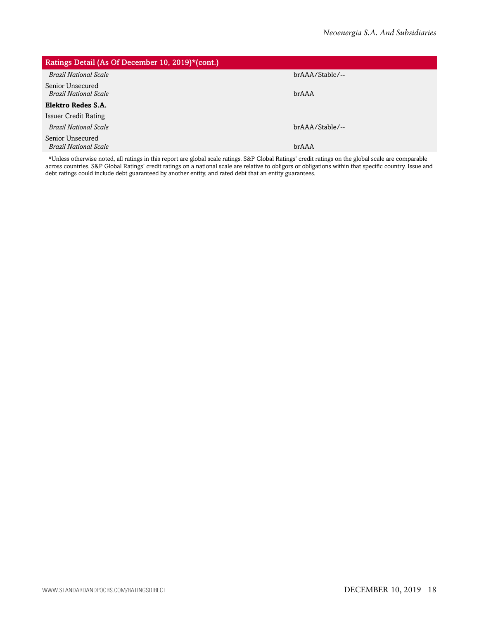| Ratings Detail (As Of December 10, 2019)*(cont.) |  |  |  |  |  |  |
|--------------------------------------------------|--|--|--|--|--|--|
| brAAA/Stable/--                                  |  |  |  |  |  |  |
| brAAA                                            |  |  |  |  |  |  |
|                                                  |  |  |  |  |  |  |
|                                                  |  |  |  |  |  |  |
| brAAA/Stable/--                                  |  |  |  |  |  |  |
| brAAA                                            |  |  |  |  |  |  |
|                                                  |  |  |  |  |  |  |

\*Unless otherwise noted, all ratings in this report are global scale ratings. S&P Global Ratings' credit ratings on the global scale are comparable across countries. S&P Global Ratings' credit ratings on a national scale are relative to obligors or obligations within that specific country. Issue and debt ratings could include debt guaranteed by another entity, and rated debt that an entity guarantees.